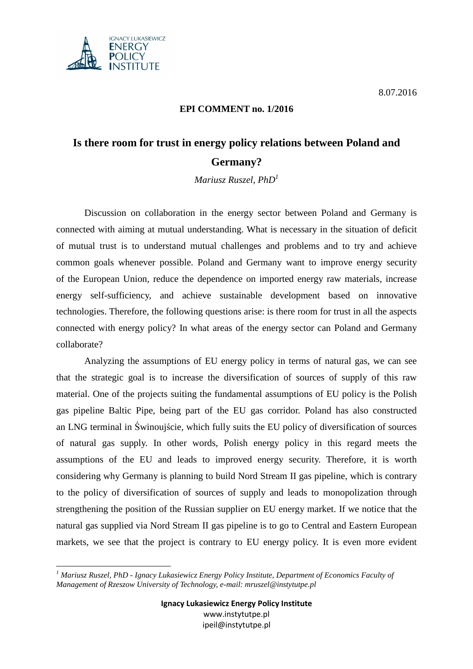



## **EPI COMMENT no. 1/2016**

## **Is there room for trust in energy policy relations between Poland and Germany?**

*Mariusz Ruszel, PhD<sup>1</sup>*

 Discussion on collaboration in the energy sector between Poland and Germany is connected with aiming at mutual understanding. What is necessary in the situation of deficit of mutual trust is to understand mutual challenges and problems and to try and achieve common goals whenever possible. Poland and Germany want to improve energy security of the European Union, reduce the dependence on imported energy raw materials, increase energy self-sufficiency, and achieve sustainable development based on innovative technologies. Therefore, the following questions arise: is there room for trust in all the aspects connected with energy policy? In what areas of the energy sector can Poland and Germany collaborate?

 Analyzing the assumptions of EU energy policy in terms of natural gas, we can see that the strategic goal is to increase the diversification of sources of supply of this raw material. One of the projects suiting the fundamental assumptions of EU policy is the Polish gas pipeline Baltic Pipe, being part of the EU gas corridor. Poland has also constructed an LNG terminal in Świnoujście, which fully suits the EU policy of diversification of sources of natural gas supply. In other words, Polish energy policy in this regard meets the assumptions of the EU and leads to improved energy security. Therefore, it is worth considering why Germany is planning to build Nord Stream II gas pipeline, which is contrary to the policy of diversification of sources of supply and leads to monopolization through strengthening the position of the Russian supplier on EU energy market. If we notice that the natural gas supplied via Nord Stream II gas pipeline is to go to Central and Eastern European markets, we see that the project is contrary to EU energy policy. It is even more evident

 $\overline{a}$ *1 Mariusz Ruszel, PhD - Ignacy Lukasiewicz Energy Policy Institute, Department of Economics Faculty of Management of Rzeszow University of Technology, e-mail: mruszel@instytutpe.pl*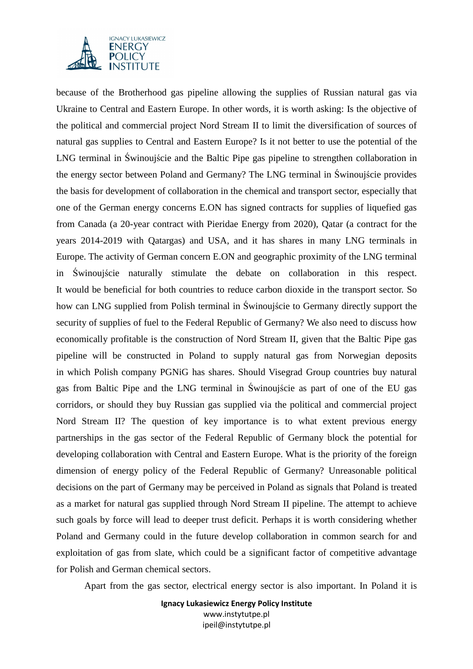

because of the Brotherhood gas pipeline allowing the supplies of Russian natural gas via Ukraine to Central and Eastern Europe. In other words, it is worth asking: Is the objective of the political and commercial project Nord Stream II to limit the diversification of sources of natural gas supplies to Central and Eastern Europe? Is it not better to use the potential of the LNG terminal in Świnoujście and the Baltic Pipe gas pipeline to strengthen collaboration in the energy sector between Poland and Germany? The LNG terminal in Świnoujście provides the basis for development of collaboration in the chemical and transport sector, especially that one of the German energy concerns E.ON has signed contracts for supplies of liquefied gas from Canada (a 20-year contract with Pieridae Energy from 2020), Qatar (a contract for the years 2014-2019 with Qatargas) and USA, and it has shares in many LNG terminals in Europe. The activity of German concern E.ON and geographic proximity of the LNG terminal in Świnoujście naturally stimulate the debate on collaboration in this respect. It would be beneficial for both countries to reduce carbon dioxide in the transport sector. So how can LNG supplied from Polish terminal in Świnoujście to Germany directly support the security of supplies of fuel to the Federal Republic of Germany? We also need to discuss how economically profitable is the construction of Nord Stream II, given that the Baltic Pipe gas pipeline will be constructed in Poland to supply natural gas from Norwegian deposits in which Polish company PGNiG has shares. Should Visegrad Group countries buy natural gas from Baltic Pipe and the LNG terminal in Świnoujście as part of one of the EU gas corridors, or should they buy Russian gas supplied via the political and commercial project Nord Stream II? The question of key importance is to what extent previous energy partnerships in the gas sector of the Federal Republic of Germany block the potential for developing collaboration with Central and Eastern Europe. What is the priority of the foreign dimension of energy policy of the Federal Republic of Germany? Unreasonable political decisions on the part of Germany may be perceived in Poland as signals that Poland is treated as a market for natural gas supplied through Nord Stream II pipeline. The attempt to achieve such goals by force will lead to deeper trust deficit. Perhaps it is worth considering whether Poland and Germany could in the future develop collaboration in common search for and exploitation of gas from slate, which could be a significant factor of competitive advantage for Polish and German chemical sectors.

Apart from the gas sector, electrical energy sector is also important. In Poland it is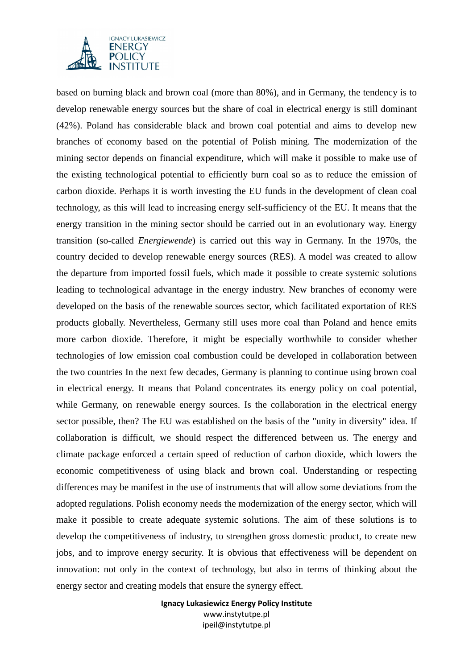

based on burning black and brown coal (more than 80%), and in Germany, the tendency is to develop renewable energy sources but the share of coal in electrical energy is still dominant (42%). Poland has considerable black and brown coal potential and aims to develop new branches of economy based on the potential of Polish mining. The modernization of the mining sector depends on financial expenditure, which will make it possible to make use of the existing technological potential to efficiently burn coal so as to reduce the emission of carbon dioxide. Perhaps it is worth investing the EU funds in the development of clean coal technology, as this will lead to increasing energy self-sufficiency of the EU. It means that the energy transition in the mining sector should be carried out in an evolutionary way. Energy transition (so-called *Energiewende*) is carried out this way in Germany. In the 1970s, the country decided to develop renewable energy sources (RES). A model was created to allow the departure from imported fossil fuels, which made it possible to create systemic solutions leading to technological advantage in the energy industry. New branches of economy were developed on the basis of the renewable sources sector, which facilitated exportation of RES products globally. Nevertheless, Germany still uses more coal than Poland and hence emits more carbon dioxide. Therefore, it might be especially worthwhile to consider whether technologies of low emission coal combustion could be developed in collaboration between the two countries In the next few decades, Germany is planning to continue using brown coal in electrical energy. It means that Poland concentrates its energy policy on coal potential, while Germany, on renewable energy sources. Is the collaboration in the electrical energy sector possible, then? The EU was established on the basis of the "unity in diversity" idea. If collaboration is difficult, we should respect the differenced between us. The energy and climate package enforced a certain speed of reduction of carbon dioxide, which lowers the economic competitiveness of using black and brown coal. Understanding or respecting differences may be manifest in the use of instruments that will allow some deviations from the adopted regulations. Polish economy needs the modernization of the energy sector, which will make it possible to create adequate systemic solutions. The aim of these solutions is to develop the competitiveness of industry, to strengthen gross domestic product, to create new jobs, and to improve energy security. It is obvious that effectiveness will be dependent on innovation: not only in the context of technology, but also in terms of thinking about the energy sector and creating models that ensure the synergy effect.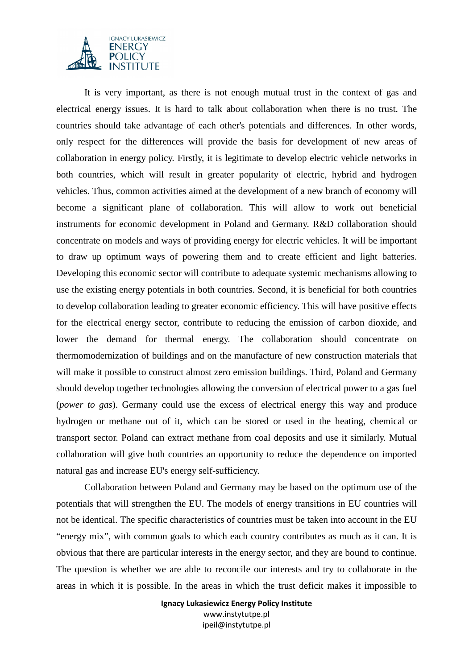

 It is very important, as there is not enough mutual trust in the context of gas and electrical energy issues. It is hard to talk about collaboration when there is no trust. The countries should take advantage of each other's potentials and differences. In other words, only respect for the differences will provide the basis for development of new areas of collaboration in energy policy. Firstly, it is legitimate to develop electric vehicle networks in both countries, which will result in greater popularity of electric, hybrid and hydrogen vehicles. Thus, common activities aimed at the development of a new branch of economy will become a significant plane of collaboration. This will allow to work out beneficial instruments for economic development in Poland and Germany. R&D collaboration should concentrate on models and ways of providing energy for electric vehicles. It will be important to draw up optimum ways of powering them and to create efficient and light batteries. Developing this economic sector will contribute to adequate systemic mechanisms allowing to use the existing energy potentials in both countries. Second, it is beneficial for both countries to develop collaboration leading to greater economic efficiency. This will have positive effects for the electrical energy sector, contribute to reducing the emission of carbon dioxide, and lower the demand for thermal energy. The collaboration should concentrate on thermomodernization of buildings and on the manufacture of new construction materials that will make it possible to construct almost zero emission buildings. Third, Poland and Germany should develop together technologies allowing the conversion of electrical power to a gas fuel (*power to gas*). Germany could use the excess of electrical energy this way and produce hydrogen or methane out of it, which can be stored or used in the heating, chemical or transport sector. Poland can extract methane from coal deposits and use it similarly. Mutual collaboration will give both countries an opportunity to reduce the dependence on imported natural gas and increase EU's energy self-sufficiency.

 Collaboration between Poland and Germany may be based on the optimum use of the potentials that will strengthen the EU. The models of energy transitions in EU countries will not be identical. The specific characteristics of countries must be taken into account in the EU "energy mix", with common goals to which each country contributes as much as it can. It is obvious that there are particular interests in the energy sector, and they are bound to continue. The question is whether we are able to reconcile our interests and try to collaborate in the areas in which it is possible. In the areas in which the trust deficit makes it impossible to